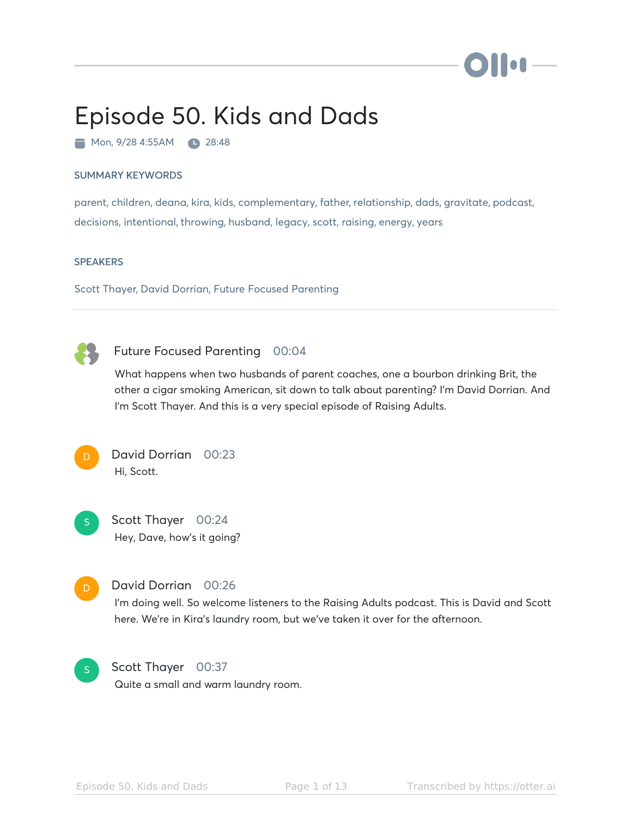

# Episode 50. Kids and Dads

Mon, 9/28 4:55AM 28:48

#### SUMMARY KEYWORDS

parent, children, deana, kira, kids, complementary, father, relationship, dads, gravitate, podcast, decisions, intentional, throwing, husband, legacy, scott, raising, energy, years

#### **SPEAKERS**

Scott Thayer, David Dorrian, Future Focused Parenting



# Future Focused Parenting 00:04

What happens when two husbands of parent coaches, one a bourbon drinking Brit, the other a cigar smoking American, sit down to talk about parenting? I'm David Dorrian. And I'm Scott Thayer. And this is a very special episode of Raising Adults.



# David Dorrian 00:23 Hi, Scott.

Scott Thayer 00:24 Hey, Dave, how's it going? S



#### David Dorrian 00:26

I'm doing well. So welcome listeners to the Raising Adults podcast. This is David and Scott here. We're in Kira's laundry room, but we've taken it over for the afternoon.



Scott Thayer 00:37 Quite a small and warm laundry room.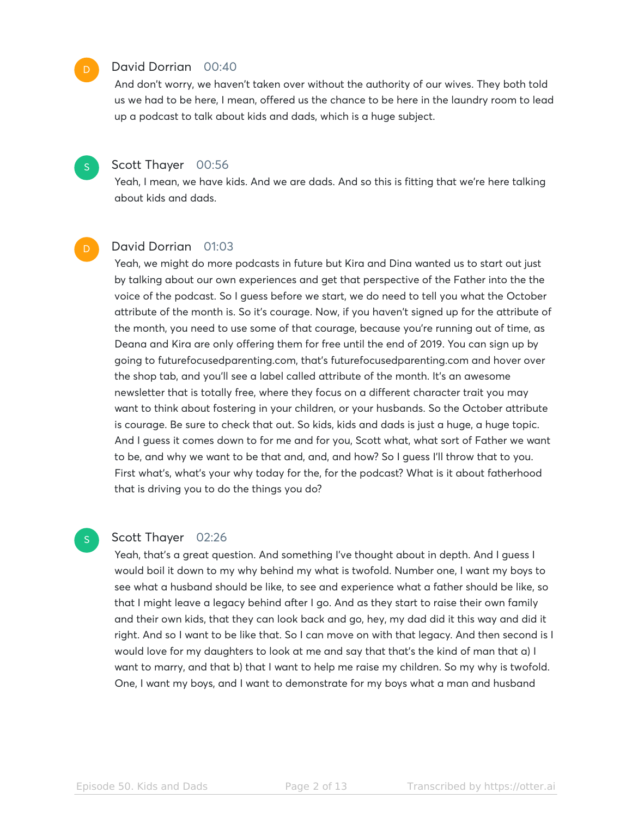#### David Dorrian 00:40

And don't worry, we haven't taken over without the authority of our wives. They both told us we had to be here, I mean, offered us the chance to be here in the laundry room to lead up a podcast to talk about kids and dads, which is a huge subject.

#### Scott Thayer 00:56

Yeah, I mean, we have kids. And we are dads. And so this is fitting that we're here talking about kids and dads.

# David Dorrian 01:03

Yeah, we might do more podcasts in future but Kira and Dina wanted us to start out just by talking about our own experiences and get that perspective of the Father into the the voice of the podcast. So I guess before we start, we do need to tell you what the October attribute of the month is. So it's courage. Now, if you haven't signed up for the attribute of the month, you need to use some of that courage, because you're running out of time, as Deana and Kira are only offering them for free until the end of 2019. You can sign up by going to futurefocusedparenting.com, that's futurefocusedparenting.com and hover over the shop tab, and you'll see a label called attribute of the month. It's an awesome newsletter that is totally free, where they focus on a different character trait you may want to think about fostering in your children, or your husbands. So the October attribute is courage. Be sure to check that out. So kids, kids and dads is just a huge, a huge topic. And I guess it comes down to for me and for you, Scott what, what sort of Father we want to be, and why we want to be that and, and, and how? So I guess I'll throw that to you. First what's, what's your why today for the, for the podcast? What is it about fatherhood that is driving you to do the things you do?

#### Scott Thayer 02:26

S

Yeah, that's a great question. And something I've thought about in depth. And I guess I would boil it down to my why behind my what is twofold. Number one, I want my boys to see what a husband should be like, to see and experience what a father should be like, so that I might leave a legacy behind after I go. And as they start to raise their own family and their own kids, that they can look back and go, hey, my dad did it this way and did it right. And so I want to be like that. So I can move on with that legacy. And then second is I would love for my daughters to look at me and say that that's the kind of man that a) I want to marry, and that b) that I want to help me raise my children. So my why is twofold. One, I want my boys, and I want to demonstrate for my boys what a man and husband

S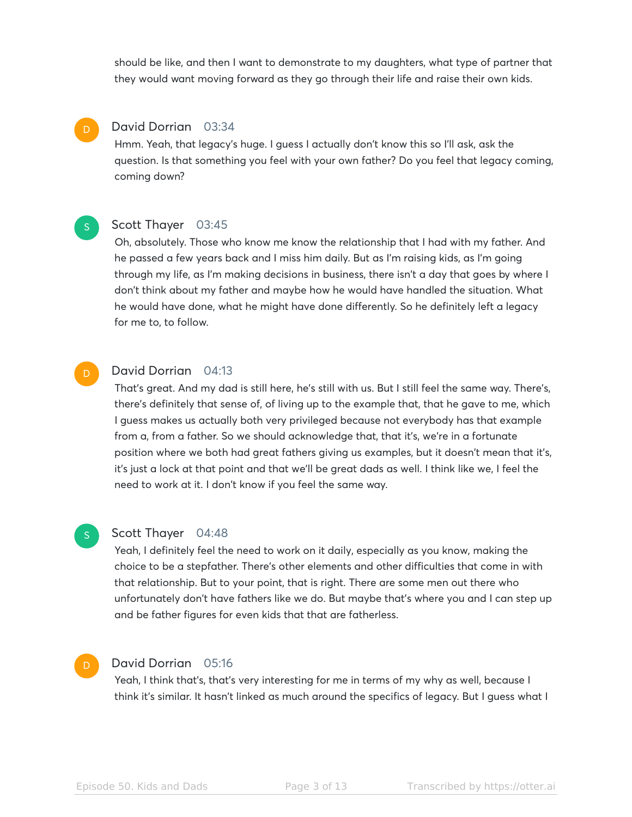should be like, and then I want to demonstrate to my daughters, what type of partner that they would want moving forward as they go through their life and raise their own kids.

#### David Dorrian 03:34

D

S

S

Hmm. Yeah, that legacy's huge. I guess I actually don't know this so I'll ask, ask the question. Is that something you feel with your own father? Do you feel that legacy coming, coming down?

#### Scott Thayer 03:45

Oh, absolutely. Those who know me know the relationship that I had with my father. And he passed a few years back and I miss him daily. But as I'm raising kids, as I'm going through my life, as I'm making decisions in business, there isn't a day that goes by where I don't think about my father and maybe how he would have handled the situation. What he would have done, what he might have done differently. So he definitely left a legacy for me to, to follow.

#### David Dorrian 04:13 D

That's great. And my dad is still here, he's still with us. But I still feel the same way. There's, there's definitely that sense of, of living up to the example that, that he gave to me, which I guess makes us actually both very privileged because not everybody has that example from a, from a father. So we should acknowledge that, that it's, we're in a fortunate position where we both had great fathers giving us examples, but it doesn't mean that it's, it's just a lock at that point and that we'll be great dads as well. I think like we, I feel the need to work at it. I don't know if you feel the same way.

#### Scott Thayer 04:48

Yeah, I definitely feel the need to work on it daily, especially as you know, making the choice to be a stepfather. There's other elements and other difficulties that come in with that relationship. But to your point, that is right. There are some men out there who unfortunately don't have fathers like we do. But maybe that's where you and I can step up and be father figures for even kids that that are fatherless.

#### David Dorrian 05:16 D

Yeah, I think that's, that's very interesting for me in terms of my why as well, because I think it's similar. It hasn't linked as much around the specifics of legacy. But I guess what I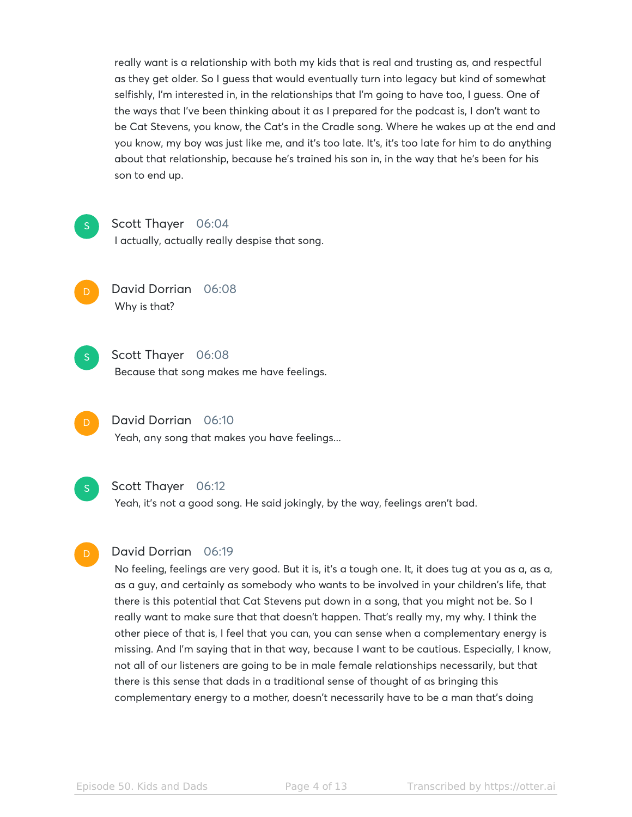really want is a relationship with both my kids that is real and trusting as, and respectful as they get older. So I guess that would eventually turn into legacy but kind of somewhat selfishly, I'm interested in, in the relationships that I'm going to have too, I guess. One of the ways that I've been thinking about it as I prepared for the podcast is, I don't want to be Cat Stevens, you know, the Cat's in the Cradle song. Where he wakes up at the end and you know, my boy was just like me, and it's too late. It's, it's too late for him to do anything about that relationship, because he's trained his son in, in the way that he's been for his son to end up.



#### Scott Thayer 06:04

I actually, actually really despise that song.

S

David Dorrian 06:08 Why is that?



Because that song makes me have feelings.

David Dorrian 06:10 Yeah, any song that makes you have feelings...

Scott Thayer 06:12

Yeah, it's not a good song. He said jokingly, by the way, feelings aren't bad.

# David Dorrian 06:19

No feeling, feelings are very good. But it is, it's a tough one. It, it does tug at you as a, as a, as a guy, and certainly as somebody who wants to be involved in your children's life, that there is this potential that Cat Stevens put down in a song, that you might not be. So I really want to make sure that that doesn't happen. That's really my, my why. I think the other piece of that is, I feel that you can, you can sense when a complementary energy is missing. And I'm saying that in that way, because I want to be cautious. Especially, I know, not all of our listeners are going to be in male female relationships necessarily, but that there is this sense that dads in a traditional sense of thought of as bringing this complementary energy to a mother, doesn't necessarily have to be a man that's doing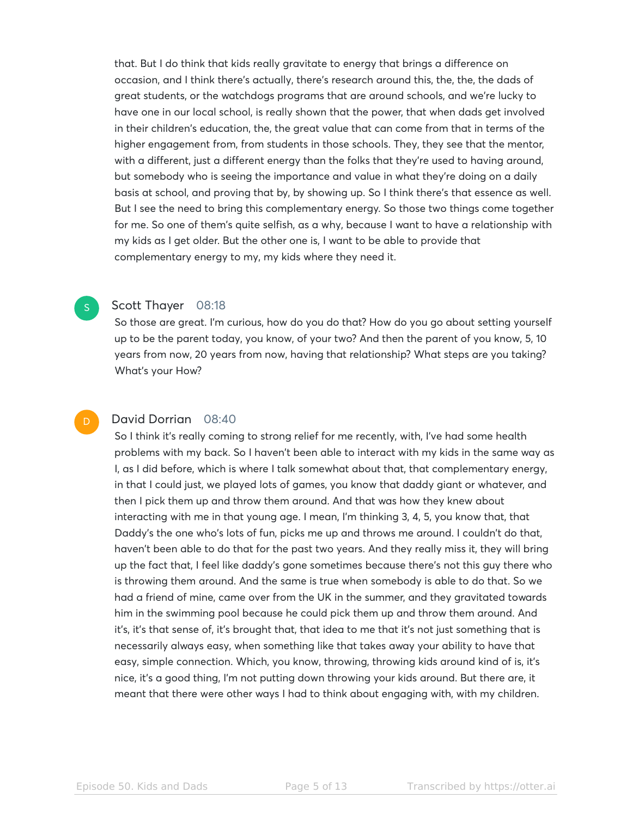that. But I do think that kids really gravitate to energy that brings a difference on occasion, and I think there's actually, there's research around this, the, the, the dads of great students, or the watchdogs programs that are around schools, and we're lucky to have one in our local school, is really shown that the power, that when dads get involved in their children's education, the, the great value that can come from that in terms of the higher engagement from, from students in those schools. They, they see that the mentor, with a different, just a different energy than the folks that they're used to having around, but somebody who is seeing the importance and value in what they're doing on a daily basis at school, and proving that by, by showing up. So I think there's that essence as well. But I see the need to bring this complementary energy. So those two things come together for me. So one of them's quite selfish, as a why, because I want to have a relationship with my kids as I get older. But the other one is, I want to be able to provide that complementary energy to my, my kids where they need it.

#### Scott Thayer 08:18

S

D

So those are great. I'm curious, how do you do that? How do you go about setting yourself up to be the parent today, you know, of your two? And then the parent of you know, 5, 10 years from now, 20 years from now, having that relationship? What steps are you taking? What's your How?

# David Dorrian 08:40

So I think it's really coming to strong relief for me recently, with, I've had some health problems with my back. So I haven't been able to interact with my kids in the same way as I, as I did before, which is where I talk somewhat about that, that complementary energy, in that I could just, we played lots of games, you know that daddy giant or whatever, and then I pick them up and throw them around. And that was how they knew about interacting with me in that young age. I mean, I'm thinking 3, 4, 5, you know that, that Daddy's the one who's lots of fun, picks me up and throws me around. I couldn't do that, haven't been able to do that for the past two years. And they really miss it, they will bring up the fact that, I feel like daddy's gone sometimes because there's not this guy there who is throwing them around. And the same is true when somebody is able to do that. So we had a friend of mine, came over from the UK in the summer, and they gravitated towards him in the swimming pool because he could pick them up and throw them around. And it's, it's that sense of, it's brought that, that idea to me that it's not just something that is necessarily always easy, when something like that takes away your ability to have that easy, simple connection. Which, you know, throwing, throwing kids around kind of is, it's nice, it's a good thing, I'm not putting down throwing your kids around. But there are, it meant that there were other ways I had to think about engaging with, with my children.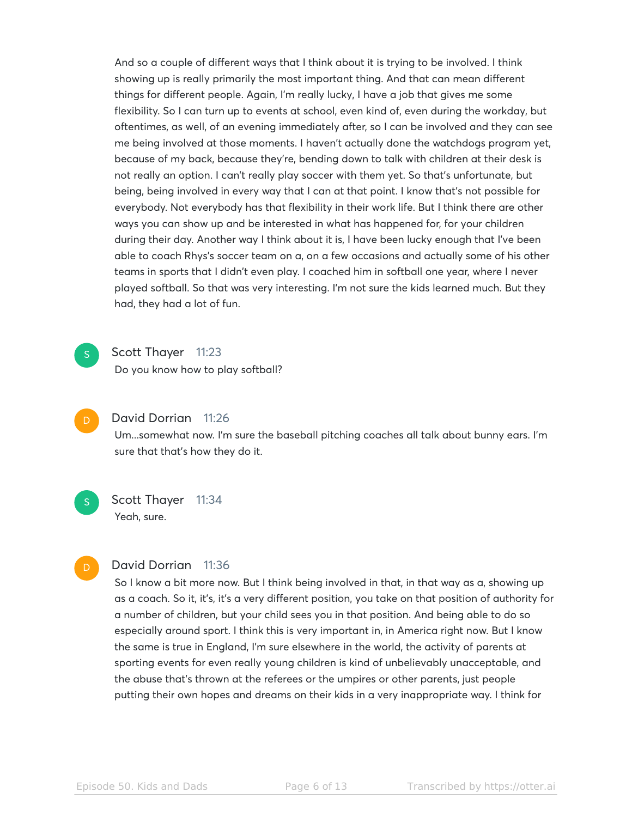And so a couple of different ways that I think about it is trying to be involved. I think showing up is really primarily the most important thing. And that can mean different things for different people. Again, I'm really lucky, I have a job that gives me some flexibility. So I can turn up to events at school, even kind of, even during the workday, but oftentimes, as well, of an evening immediately after, so I can be involved and they can see me being involved at those moments. I haven't actually done the watchdogs program yet, because of my back, because they're, bending down to talk with children at their desk is not really an option. I can't really play soccer with them yet. So that's unfortunate, but being, being involved in every way that I can at that point. I know that's not possible for everybody. Not everybody has that flexibility in their work life. But I think there are other ways you can show up and be interested in what has happened for, for your children during their day. Another way I think about it is, I have been lucky enough that I've been able to coach Rhys's soccer team on a, on a few occasions and actually some of his other teams in sports that I didn't even play. I coached him in softball one year, where I never played softball. So that was very interesting. I'm not sure the kids learned much. But they had, they had a lot of fun.

- Scott Thayer 11:23 Do you know how to play softball? S
	- David Dorrian 11:26

 $\overline{D}$ 

S

D

Um...somewhat now. I'm sure the baseball pitching coaches all talk about bunny ears. I'm sure that that's how they do it.

Scott Thayer 11:34 Yeah, sure.

#### David Dorrian 11:36

So I know a bit more now. But I think being involved in that, in that way as a, showing up as a coach. So it, it's, it's a very different position, you take on that position of authority for a number of children, but your child sees you in that position. And being able to do so especially around sport. I think this is very important in, in America right now. But I know the same is true in England, I'm sure elsewhere in the world, the activity of parents at sporting events for even really young children is kind of unbelievably unacceptable, and the abuse that's thrown at the referees or the umpires or other parents, just people putting their own hopes and dreams on their kids in a very inappropriate way. I think for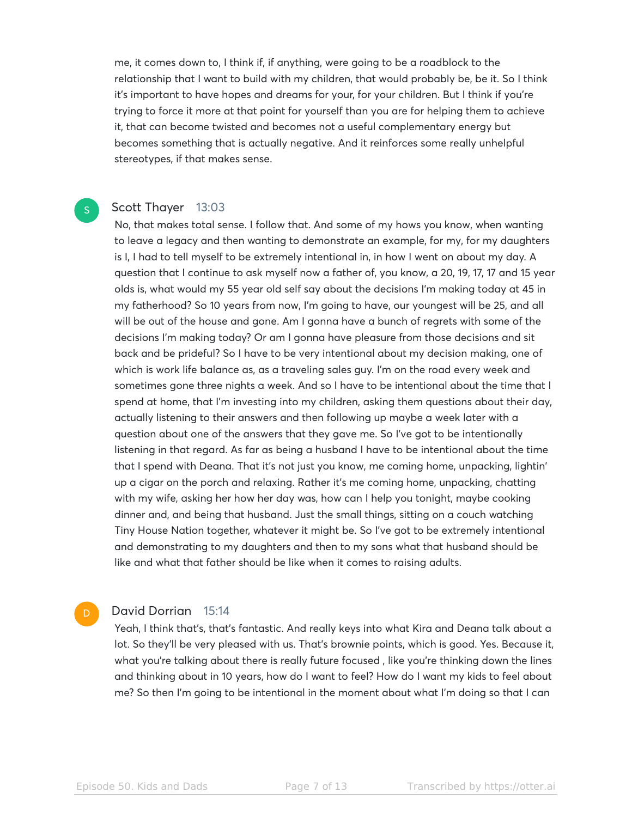me, it comes down to, I think if, if anything, were going to be a roadblock to the relationship that I want to build with my children, that would probably be, be it. So I think it's important to have hopes and dreams for your, for your children. But I think if you're trying to force it more at that point for yourself than you are for helping them to achieve it, that can become twisted and becomes not a useful complementary energy but becomes something that is actually negative. And it reinforces some really unhelpful stereotypes, if that makes sense.

#### Scott Thayer 13:03

S

No, that makes total sense. I follow that. And some of my hows you know, when wanting to leave a legacy and then wanting to demonstrate an example, for my, for my daughters is I, I had to tell myself to be extremely intentional in, in how I went on about my day. A question that I continue to ask myself now a father of, you know, a 20, 19, 17, 17 and 15 year olds is, what would my 55 year old self say about the decisions I'm making today at 45 in my fatherhood? So 10 years from now, I'm going to have, our youngest will be 25, and all will be out of the house and gone. Am I gonna have a bunch of regrets with some of the decisions I'm making today? Or am I gonna have pleasure from those decisions and sit back and be prideful? So I have to be very intentional about my decision making, one of which is work life balance as, as a traveling sales guy. I'm on the road every week and sometimes gone three nights a week. And so I have to be intentional about the time that I spend at home, that I'm investing into my children, asking them questions about their day, actually listening to their answers and then following up maybe a week later with a question about one of the answers that they gave me. So I've got to be intentionally listening in that regard. As far as being a husband I have to be intentional about the time that I spend with Deana. That it's not just you know, me coming home, unpacking, lightin' up a cigar on the porch and relaxing. Rather it's me coming home, unpacking, chatting with my wife, asking her how her day was, how can I help you tonight, maybe cooking dinner and, and being that husband. Just the small things, sitting on a couch watching Tiny House Nation together, whatever it might be. So I've got to be extremely intentional and demonstrating to my daughters and then to my sons what that husband should be like and what that father should be like when it comes to raising adults.

#### David Dorrian 15:14

D

Yeah, I think that's, that's fantastic. And really keys into what Kira and Deana talk about a lot. So they'll be very pleased with us. That's brownie points, which is good. Yes. Because it, what you're talking about there is really future focused , like you're thinking down the lines and thinking about in 10 years, how do I want to feel? How do I want my kids to feel about me? So then I'm going to be intentional in the moment about what I'm doing so that I can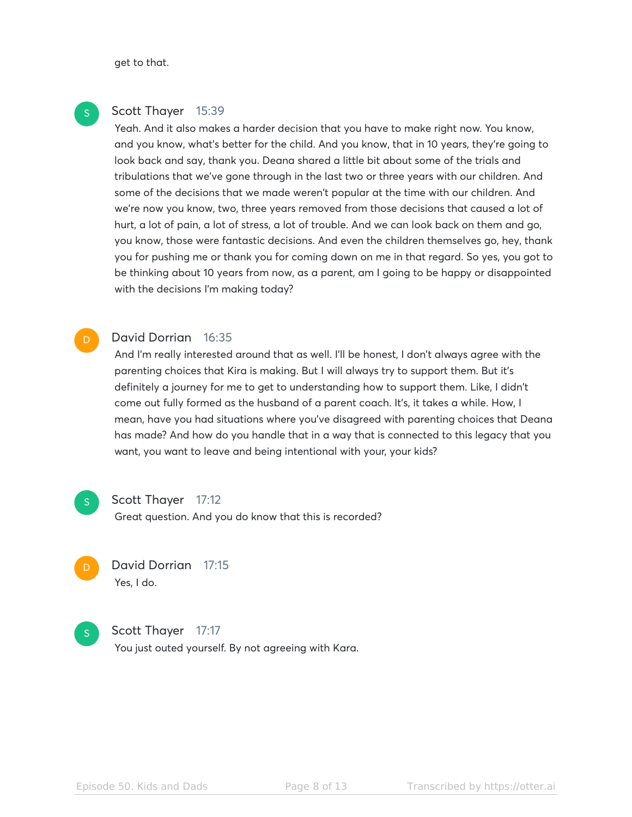get to that.

# Scott Thayer 15:39

Yeah. And it also makes a harder decision that you have to make right now. You know, and you know, what's better for the child. And you know, that in 10 years, they're going to look back and say, thank you. Deana shared a little bit about some of the trials and tribulations that we've gone through in the last two or three years with our children. And some of the decisions that we made weren't popular at the time with our children. And we're now you know, two, three years removed from those decisions that caused a lot of hurt, a lot of pain, a lot of stress, a lot of trouble. And we can look back on them and go, you know, those were fantastic decisions. And even the children themselves go, hey, thank you for pushing me or thank you for coming down on me in that regard. So yes, you got to be thinking about 10 years from now, as a parent, am I going to be happy or disappointed with the decisions I'm making today?

#### David Dorrian 16:35 D

And I'm really interested around that as well. I'll be honest, I don't always agree with the parenting choices that Kira is making. But I will always try to support them. But it's definitely a journey for me to get to understanding how to support them. Like, I didn't come out fully formed as the husband of a parent coach. It's, it takes a while. How, I mean, have you had situations where you've disagreed with parenting choices that Deana has made? And how do you handle that in a way that is connected to this legacy that you want, you want to leave and being intentional with your, your kids?



#### Scott Thayer 17:12

Great question. And you do know that this is recorded?



# David Dorrian 17:15 Yes, I do.



Scott Thayer 17:17

You just outed yourself. By not agreeing with Kara.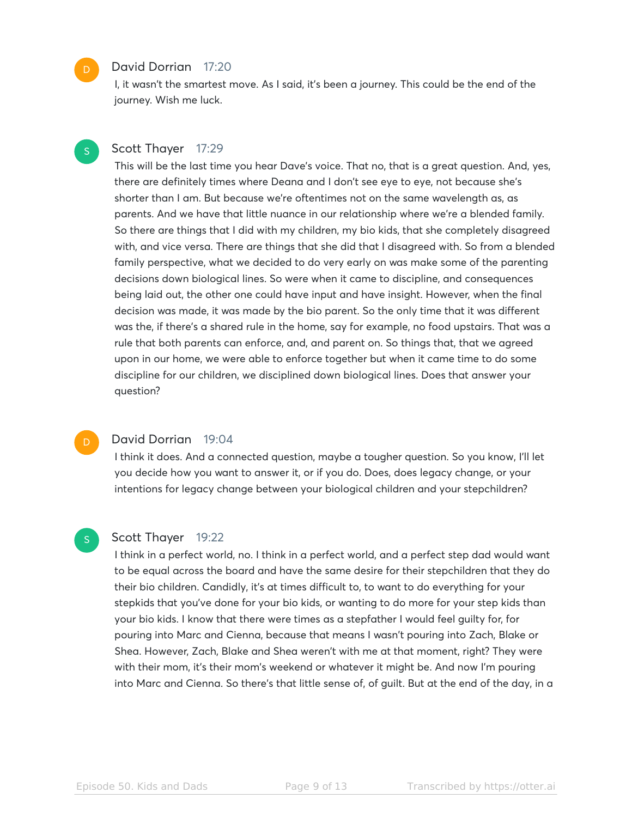#### David Dorrian 17:20

I, it wasn't the smartest move. As I said, it's been a journey. This could be the end of the journey. Wish me luck.

# Scott Thayer 17:29

This will be the last time you hear Dave's voice. That no, that is a great question. And, yes, there are definitely times where Deana and I don't see eye to eye, not because she's shorter than I am. But because we're oftentimes not on the same wavelength as, as parents. And we have that little nuance in our relationship where we're a blended family. So there are things that I did with my children, my bio kids, that she completely disagreed with, and vice versa. There are things that she did that I disagreed with. So from a blended family perspective, what we decided to do very early on was make some of the parenting decisions down biological lines. So were when it came to discipline, and consequences being laid out, the other one could have input and have insight. However, when the final decision was made, it was made by the bio parent. So the only time that it was different was the, if there's a shared rule in the home, say for example, no food upstairs. That was a rule that both parents can enforce, and, and parent on. So things that, that we agreed upon in our home, we were able to enforce together but when it came time to do some discipline for our children, we disciplined down biological lines. Does that answer your question?

#### David Dorrian 19:04

I think it does. And a connected question, maybe a tougher question. So you know, I'll let you decide how you want to answer it, or if you do. Does, does legacy change, or your intentions for legacy change between your biological children and your stepchildren?

#### Scott Thayer 19:22

S

I think in a perfect world, no. I think in a perfect world, and a perfect step dad would want to be equal across the board and have the same desire for their stepchildren that they do their bio children. Candidly, it's at times difficult to, to want to do everything for your stepkids that you've done for your bio kids, or wanting to do more for your step kids than your bio kids. I know that there were times as a stepfather I would feel guilty for, for pouring into Marc and Cienna, because that means I wasn't pouring into Zach, Blake or Shea. However, Zach, Blake and Shea weren't with me at that moment, right? They were with their mom, it's their mom's weekend or whatever it might be. And now I'm pouring into Marc and Cienna. So there's that little sense of, of guilt. But at the end of the day, in a

D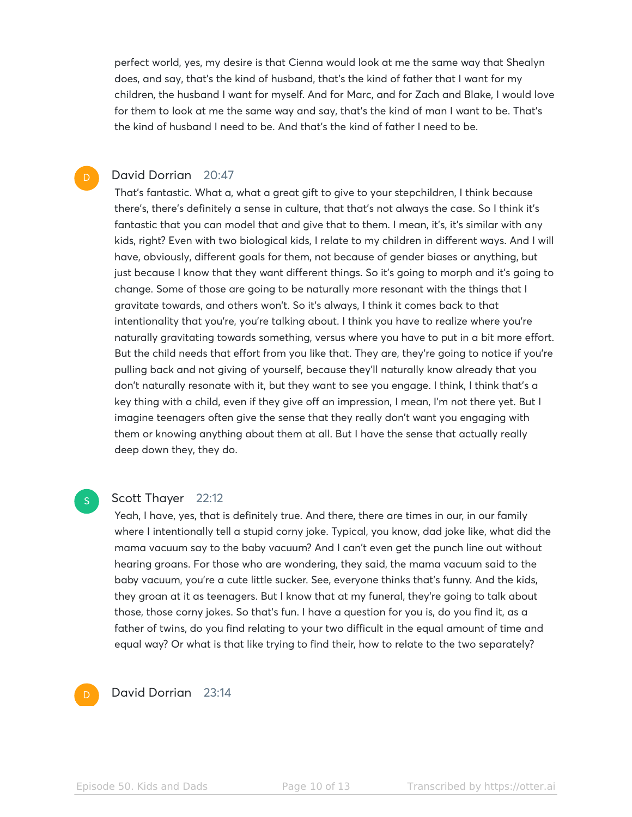perfect world, yes, my desire is that Cienna would look at me the same way that Shealyn does, and say, that's the kind of husband, that's the kind of father that I want for my children, the husband I want for myself. And for Marc, and for Zach and Blake, I would love for them to look at me the same way and say, that's the kind of man I want to be. That's the kind of husband I need to be. And that's the kind of father I need to be.

### David Dorrian 20:47

D

That's fantastic. What a, what a great gift to give to your stepchildren, I think because there's, there's definitely a sense in culture, that that's not always the case. So I think it's fantastic that you can model that and give that to them. I mean, it's, it's similar with any kids, right? Even with two biological kids, I relate to my children in different ways. And I will have, obviously, different goals for them, not because of gender biases or anything, but just because I know that they want different things. So it's going to morph and it's going to change. Some of those are going to be naturally more resonant with the things that I gravitate towards, and others won't. So it's always, I think it comes back to that intentionality that you're, you're talking about. I think you have to realize where you're naturally gravitating towards something, versus where you have to put in a bit more effort. But the child needs that effort from you like that. They are, they're going to notice if you're pulling back and not giving of yourself, because they'll naturally know already that you don't naturally resonate with it, but they want to see you engage. I think, I think that's a key thing with a child, even if they give off an impression, I mean, I'm not there yet. But I imagine teenagers often give the sense that they really don't want you engaging with them or knowing anything about them at all. But I have the sense that actually really deep down they, they do.

#### Scott Thayer 22:12

Yeah, I have, yes, that is definitely true. And there, there are times in our, in our family where I intentionally tell a stupid corny joke. Typical, you know, dad joke like, what did the mama vacuum say to the baby vacuum? And I can't even get the punch line out without hearing groans. For those who are wondering, they said, the mama vacuum said to the baby vacuum, you're a cute little sucker. See, everyone thinks that's funny. And the kids, they groan at it as teenagers. But I know that at my funeral, they're going to talk about those, those corny jokes. So that's fun. I have a question for you is, do you find it, as a father of twins, do you find relating to your two difficult in the equal amount of time and equal way? Or what is that like trying to find their, how to relate to the two separately?

# D

S

# David Dorrian 23:14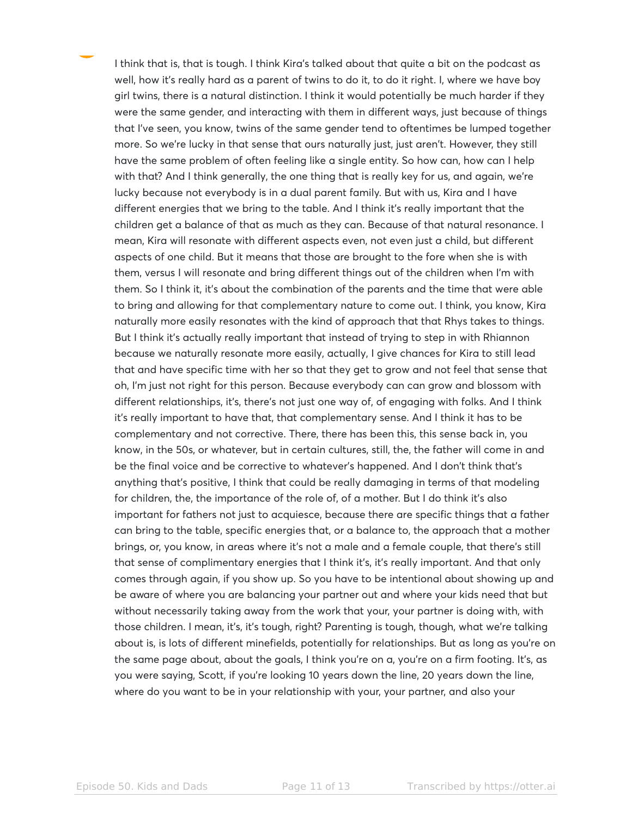I think that is, that is tough. I think Kira's talked about that quite a bit on the podcast as well, how it's really hard as a parent of twins to do it, to do it right. I, where we have boy girl twins, there is a natural distinction. I think it would potentially be much harder if they were the same gender, and interacting with them in different ways, just because of things that I've seen, you know, twins of the same gender tend to oftentimes be lumped together more. So we're lucky in that sense that ours naturally just, just aren't. However, they still have the same problem of often feeling like a single entity. So how can, how can I help with that? And I think generally, the one thing that is really key for us, and again, we're lucky because not everybody is in a dual parent family. But with us, Kira and I have different energies that we bring to the table. And I think it's really important that the children get a balance of that as much as they can. Because of that natural resonance. I mean, Kira will resonate with different aspects even, not even just a child, but different aspects of one child. But it means that those are brought to the fore when she is with them, versus I will resonate and bring different things out of the children when I'm with them. So I think it, it's about the combination of the parents and the time that were able to bring and allowing for that complementary nature to come out. I think, you know, Kira naturally more easily resonates with the kind of approach that that Rhys takes to things. But I think it's actually really important that instead of trying to step in with Rhiannon because we naturally resonate more easily, actually, I give chances for Kira to still lead that and have specific time with her so that they get to grow and not feel that sense that oh, I'm just not right for this person. Because everybody can can grow and blossom with different relationships, it's, there's not just one way of, of engaging with folks. And I think it's really important to have that, that complementary sense. And I think it has to be complementary and not corrective. There, there has been this, this sense back in, you know, in the 50s, or whatever, but in certain cultures, still, the, the father will come in and be the final voice and be corrective to whatever's happened. And I don't think that's anything that's positive, I think that could be really damaging in terms of that modeling for children, the, the importance of the role of, of a mother. But I do think it's also important for fathers not just to acquiesce, because there are specific things that a father can bring to the table, specific energies that, or a balance to, the approach that a mother brings, or, you know, in areas where it's not a male and a female couple, that there's still that sense of complimentary energies that I think it's, it's really important. And that only comes through again, if you show up. So you have to be intentional about showing up and be aware of where you are balancing your partner out and where your kids need that but without necessarily taking away from the work that your, your partner is doing with, with those children. I mean, it's, it's tough, right? Parenting is tough, though, what we're talking about is, is lots of different minefields, potentially for relationships. But as long as you're on the same page about, about the goals, I think you're on a, you're on a firm footing. It's, as you were saying, Scott, if you're looking 10 years down the line, 20 years down the line, where do you want to be in your relationship with your, your partner, and also your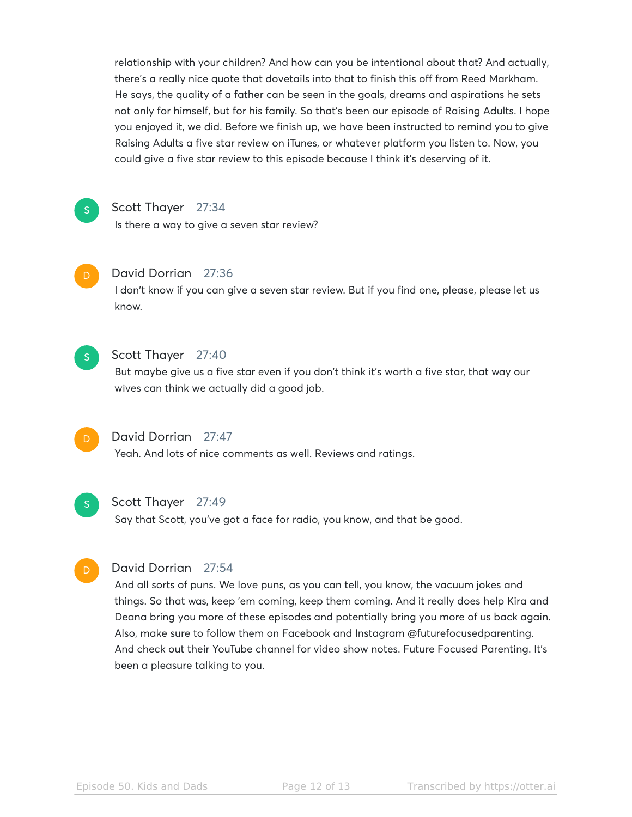relationship with your children? And how can you be intentional about that? And actually, there's a really nice quote that dovetails into that to finish this off from Reed Markham. He says, the quality of a father can be seen in the goals, dreams and aspirations he sets not only for himself, but for his family. So that's been our episode of Raising Adults. I hope you enjoyed it, we did. Before we finish up, we have been instructed to remind you to give Raising Adults a five star review on iTunes, or whatever platform you listen to. Now, you could give a five star review to this episode because I think it's deserving of it.

# S

# Scott Thayer 27:34

Is there a way to give a seven star review?



# David Dorrian 27:36

I don't know if you can give a seven star review. But if you find one, please, please let us know.



# Scott Thayer 27:40

But maybe give us a five star even if you don't think it's worth a five star, that way our wives can think we actually did a good job.



# David Dorrian 27:47

Yeah. And lots of nice comments as well. Reviews and ratings.



# Scott Thayer 27:49

Say that Scott, you've got a face for radio, you know, and that be good.

# David Dorrian 27:54

And all sorts of puns. We love puns, as you can tell, you know, the vacuum jokes and things. So that was, keep 'em coming, keep them coming. And it really does help Kira and Deana bring you more of these episodes and potentially bring you more of us back again. Also, make sure to follow them on Facebook and Instagram @futurefocusedparenting. And check out their YouTube channel for video show notes. Future Focused Parenting. It's been a pleasure talking to you.